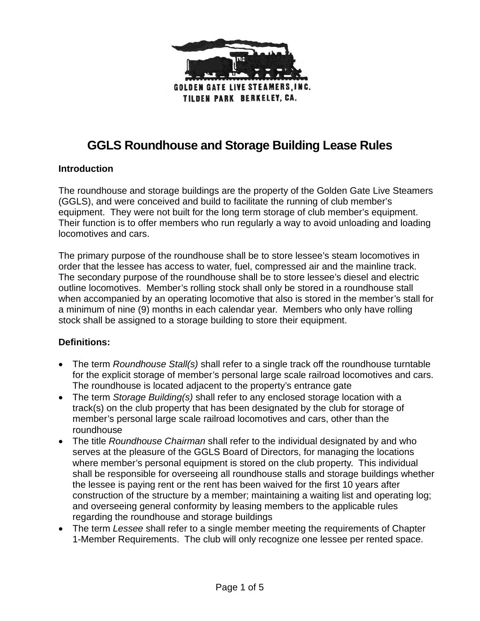

# **GGLS Roundhouse and Storage Building Lease Rules**

#### **Introduction**

The roundhouse and storage buildings are the property of the Golden Gate Live Steamers (GGLS), and were conceived and build to facilitate the running of club member's equipment. They were not built for the long term storage of club member's equipment. Their function is to offer members who run regularly a way to avoid unloading and loading locomotives and cars.

The primary purpose of the roundhouse shall be to store lessee's steam locomotives in order that the lessee has access to water, fuel, compressed air and the mainline track. The secondary purpose of the roundhouse shall be to store lessee's diesel and electric outline locomotives. Member's rolling stock shall only be stored in a roundhouse stall when accompanied by an operating locomotive that also is stored in the member's stall for a minimum of nine (9) months in each calendar year. Members who only have rolling stock shall be assigned to a storage building to store their equipment.

#### **Definitions:**

- The term *Roundhouse Stall(s)* shall refer to a single track off the roundhouse turntable for the explicit storage of member's personal large scale railroad locomotives and cars. The roundhouse is located adjacent to the property's entrance gate
- The term *Storage Building(s)* shall refer to any enclosed storage location with a track(s) on the club property that has been designated by the club for storage of member's personal large scale railroad locomotives and cars, other than the roundhouse
- The title *Roundhouse Chairman* shall refer to the individual designated by and who serves at the pleasure of the GGLS Board of Directors, for managing the locations where member's personal equipment is stored on the club property. This individual shall be responsible for overseeing all roundhouse stalls and storage buildings whether the lessee is paying rent or the rent has been waived for the first 10 years after construction of the structure by a member; maintaining a waiting list and operating log; and overseeing general conformity by leasing members to the applicable rules regarding the roundhouse and storage buildings
- The term *Lessee* shall refer to a single member meeting the requirements of Chapter 1-Member Requirements. The club will only recognize one lessee per rented space.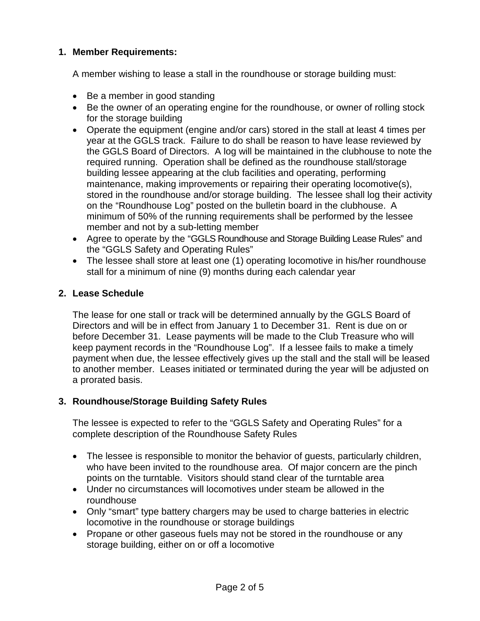## **1. Member Requirements:**

A member wishing to lease a stall in the roundhouse or storage building must:

- Be a member in good standing
- Be the owner of an operating engine for the roundhouse, or owner of rolling stock for the storage building
- Operate the equipment (engine and/or cars) stored in the stall at least 4 times per year at the GGLS track. Failure to do shall be reason to have lease reviewed by the GGLS Board of Directors. A log will be maintained in the clubhouse to note the required running. Operation shall be defined as the roundhouse stall/storage building lessee appearing at the club facilities and operating, performing maintenance, making improvements or repairing their operating locomotive(s), stored in the roundhouse and/or storage building. The lessee shall log their activity on the "Roundhouse Log" posted on the bulletin board in the clubhouse. A minimum of 50% of the running requirements shall be performed by the lessee member and not by a sub-letting member
- Agree to operate by the "GGLS Roundhouse and Storage Building Lease Rules" and the "GGLS Safety and Operating Rules"
- The lessee shall store at least one (1) operating locomotive in his/her roundhouse stall for a minimum of nine (9) months during each calendar year

## **2. Lease Schedule**

The lease for one stall or track will be determined annually by the GGLS Board of Directors and will be in effect from January 1 to December 31. Rent is due on or before December 31. Lease payments will be made to the Club Treasure who will keep payment records in the "Roundhouse Log". If a lessee fails to make a timely payment when due, the lessee effectively gives up the stall and the stall will be leased to another member. Leases initiated or terminated during the year will be adjusted on a prorated basis.

## **3. Roundhouse/Storage Building Safety Rules**

The lessee is expected to refer to the "GGLS Safety and Operating Rules" for a complete description of the Roundhouse Safety Rules

- The lessee is responsible to monitor the behavior of guests, particularly children, who have been invited to the roundhouse area. Of major concern are the pinch points on the turntable. Visitors should stand clear of the turntable area
- Under no circumstances will locomotives under steam be allowed in the roundhouse
- Only "smart" type battery chargers may be used to charge batteries in electric locomotive in the roundhouse or storage buildings
- Propane or other gaseous fuels may not be stored in the roundhouse or any storage building, either on or off a locomotive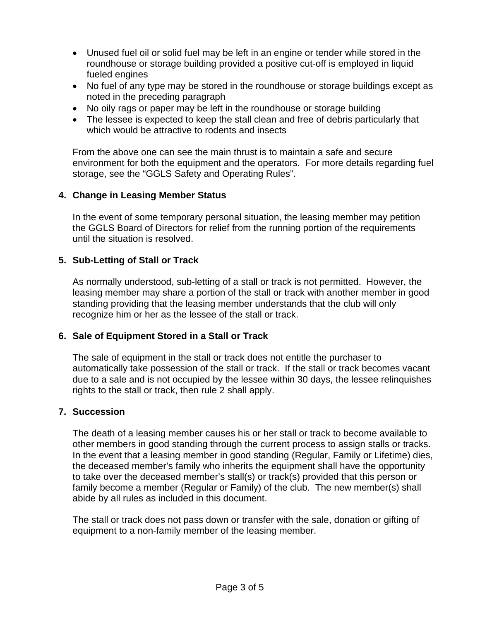- Unused fuel oil or solid fuel may be left in an engine or tender while stored in the roundhouse or storage building provided a positive cut-off is employed in liquid fueled engines
- No fuel of any type may be stored in the roundhouse or storage buildings except as noted in the preceding paragraph
- No oily rags or paper may be left in the roundhouse or storage building
- The lessee is expected to keep the stall clean and free of debris particularly that which would be attractive to rodents and insects

From the above one can see the main thrust is to maintain a safe and secure environment for both the equipment and the operators. For more details regarding fuel storage, see the "GGLS Safety and Operating Rules".

#### **4. Change in Leasing Member Status**

In the event of some temporary personal situation, the leasing member may petition the GGLS Board of Directors for relief from the running portion of the requirements until the situation is resolved.

#### **5. Sub-Letting of Stall or Track**

As normally understood, sub-letting of a stall or track is not permitted. However, the leasing member may share a portion of the stall or track with another member in good standing providing that the leasing member understands that the club will only recognize him or her as the lessee of the stall or track.

#### **6. Sale of Equipment Stored in a Stall or Track**

The sale of equipment in the stall or track does not entitle the purchaser to automatically take possession of the stall or track. If the stall or track becomes vacant due to a sale and is not occupied by the lessee within 30 days, the lessee relinquishes rights to the stall or track, then rule 2 shall apply.

#### **7. Succession**

The death of a leasing member causes his or her stall or track to become available to other members in good standing through the current process to assign stalls or tracks. In the event that a leasing member in good standing (Regular, Family or Lifetime) dies, the deceased member's family who inherits the equipment shall have the opportunity to take over the deceased member's stall(s) or track(s) provided that this person or family become a member (Regular or Family) of the club. The new member(s) shall abide by all rules as included in this document.

The stall or track does not pass down or transfer with the sale, donation or gifting of equipment to a non-family member of the leasing member.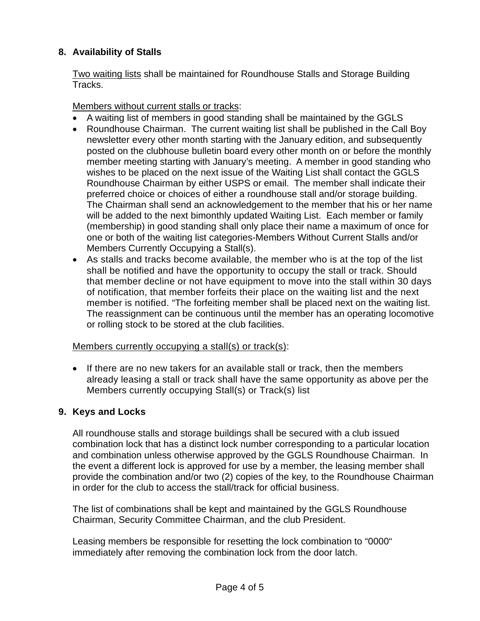# **8. Availability of Stalls**

Two waiting lists shall be maintained for Roundhouse Stalls and Storage Building Tracks.

Members without current stalls or tracks:

- A waiting list of members in good standing shall be maintained by the GGLS
- Roundhouse Chairman. The current waiting list shall be published in the Call Boy newsletter every other month starting with the January edition, and subsequently posted on the clubhouse bulletin board every other month on or before the monthly member meeting starting with January's meeting. A member in good standing who wishes to be placed on the next issue of the Waiting List shall contact the GGLS Roundhouse Chairman by either USPS or email. The member shall indicate their preferred choice or choices of either a roundhouse stall and/or storage building. The Chairman shall send an acknowledgement to the member that his or her name will be added to the next bimonthly updated Waiting List. Each member or family (membership) in good standing shall only place their name a maximum of once for one or both of the waiting list categories-Members Without Current Stalls and/or Members Currently Occupying a Stall(s).
- As stalls and tracks become available, the member who is at the top of the list shall be notified and have the opportunity to occupy the stall or track. Should that member decline or not have equipment to move into the stall within 30 days of notification, that member forfeits their place on the waiting list and the next member is notified. "The forfeiting member shall be placed next on the waiting list. The reassignment can be continuous until the member has an operating locomotive or rolling stock to be stored at the club facilities.

## Members currently occupying a stall(s) or track(s):

• If there are no new takers for an available stall or track, then the members already leasing a stall or track shall have the same opportunity as above per the Members currently occupying Stall(s) or Track(s) list

# **9. Keys and Locks**

All roundhouse stalls and storage buildings shall be secured with a club issued combination lock that has a distinct lock number corresponding to a particular location and combination unless otherwise approved by the GGLS Roundhouse Chairman. In the event a different lock is approved for use by a member, the leasing member shall provide the combination and/or two (2) copies of the key, to the Roundhouse Chairman in order for the club to access the stall/track for official business.

The list of combinations shall be kept and maintained by the GGLS Roundhouse Chairman, Security Committee Chairman, and the club President.

Leasing members be responsible for resetting the lock combination to "0000" immediately after removing the combination lock from the door latch.